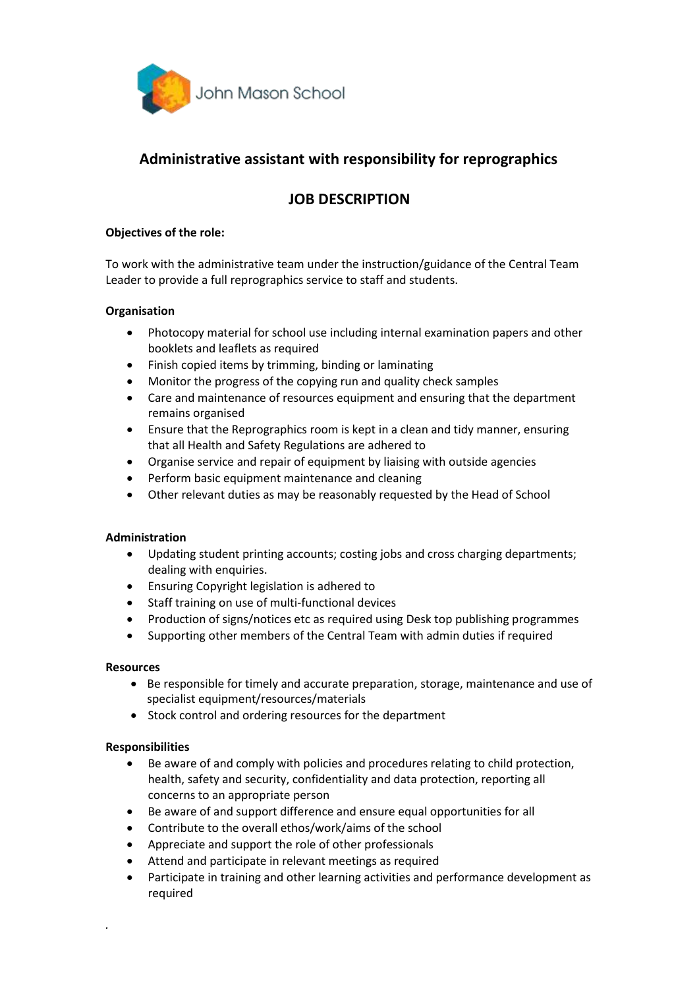

# **Administrative assistant with responsibility for reprographics**

## **JOB DESCRIPTION**

#### **Objectives of the role:**

To work with the administrative team under the instruction/guidance of the Central Team Leader to provide a full reprographics service to staff and students.

#### **Organisation**

- Photocopy material for school use including internal examination papers and other booklets and leaflets as required
- Finish copied items by trimming, binding or laminating
- Monitor the progress of the copying run and quality check samples
- Care and maintenance of resources equipment and ensuring that the department remains organised
- Ensure that the Reprographics room is kept in a clean and tidy manner, ensuring that all Health and Safety Regulations are adhered to
- Organise service and repair of equipment by liaising with outside agencies
- Perform basic equipment maintenance and cleaning
- Other relevant duties as may be reasonably requested by the Head of School

#### **Administration**

- Updating student printing accounts; costing jobs and cross charging departments; dealing with enquiries.
- Ensuring Copyright legislation is adhered to
- Staff training on use of multi-functional devices
- Production of signs/notices etc as required using Desk top publishing programmes
- Supporting other members of the Central Team with admin duties if required

#### **Resources**

- Be responsible for timely and accurate preparation, storage, maintenance and use of specialist equipment/resources/materials
- Stock control and ordering resources for the department

### **Responsibilities**

*.*

- Be aware of and comply with policies and procedures relating to child protection, health, safety and security, confidentiality and data protection, reporting all concerns to an appropriate person
- Be aware of and support difference and ensure equal opportunities for all
- Contribute to the overall ethos/work/aims of the school
- Appreciate and support the role of other professionals
- Attend and participate in relevant meetings as required
- Participate in training and other learning activities and performance development as required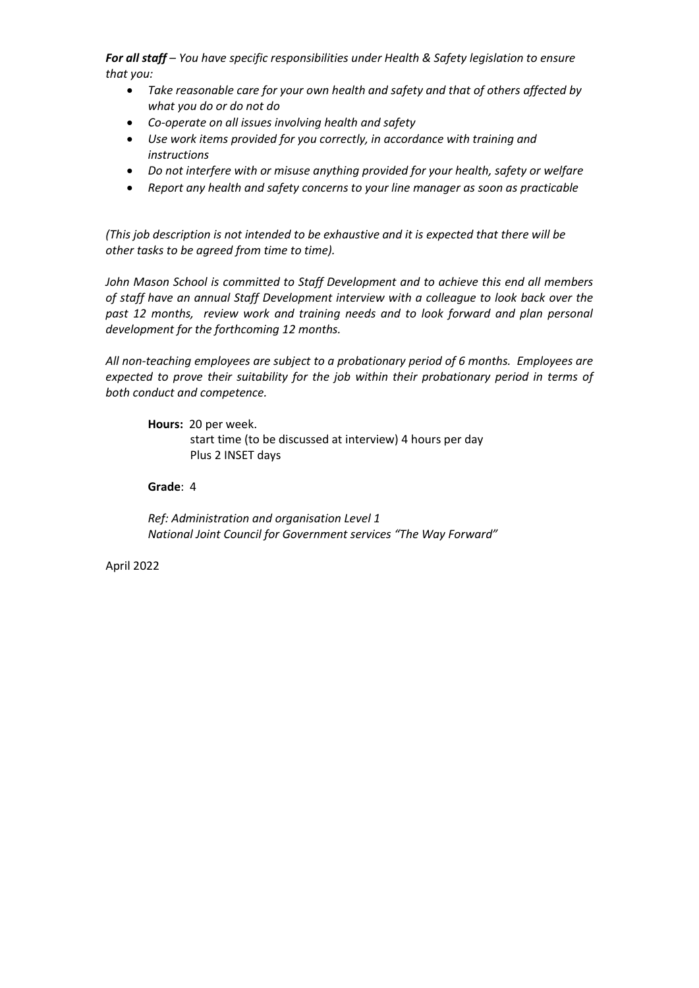*For all staff – You have specific responsibilities under Health & Safety legislation to ensure that you:*

- *Take reasonable care for your own health and safety and that of others affected by what you do or do not do*
- *Co-operate on all issues involving health and safety*
- *Use work items provided for you correctly, in accordance with training and instructions*
- *Do not interfere with or misuse anything provided for your health, safety or welfare*
- *Report any health and safety concerns to your line manager as soon as practicable*

*(This job description is not intended to be exhaustive and it is expected that there will be other tasks to be agreed from time to time).*

*John Mason School is committed to Staff Development and to achieve this end all members of staff have an annual Staff Development interview with a colleague to look back over the past 12 months, review work and training needs and to look forward and plan personal development for the forthcoming 12 months.*

*All non-teaching employees are subject to a probationary period of 6 months. Employees are expected to prove their suitability for the job within their probationary period in terms of both conduct and competence.* 

**Hours:** 20 per week.

start time (to be discussed at interview) 4 hours per day Plus 2 INSET days

**Grade**: 4

*Ref: Administration and organisation Level 1 National Joint Council for Government services "The Way Forward"*

April 2022